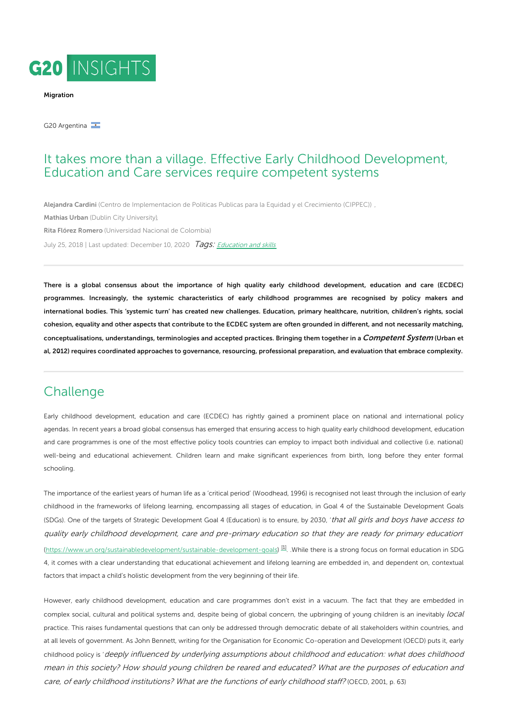

#### [Migration](https://www.g20-insights.org/policy_area/youth-aging-population-migration/)

G20 Argentina

### It takes more than a village. Effective Early Childhood Development, Education and Care services require competent systems

[Alejandra](https://www.g20-insights.org/authors/alejandra-cardini/) Cardini (Centro de [Implementacion](https://www.g20-insights.org/think_tanks/cippec/) de Politicas Publicas para la Equidad y el Crecimiento (CIPPEC)) , [Mathias](https://www.g20-insights.org/authors/mathias-urban/) Urban (Dublin City [University\),](https://www.g20-insights.org/think_tanks/dublin-city-university/) Rita Flórez [Romero](https://www.g20-insights.org/authors/rita-florez-romero/) [\(Universidad](https://www.g20-insights.org/think_tanks/universidad-nacional-de-colombia/) Nacional de Colombia) July 25, 2018 | Last updated: December 10, 2020 Tags: [Education](/tag/education-and-skills) and skills

There is a global consensus about the importance of high quality early childhood development, education and care (ECDEC) programmes. Increasingly, the systemic characteristics of early childhood programmes are recognised by policy makers and international bodies. This 'systemic turn' has created new challenges. Education, primary healthcare, nutrition, children's rights, social cohesion, equality and other aspects that contribute to the ECDEC system are often grounded in different, and not necessarily matching, conceptualisations, understandings, terminologies and accepted practices. Bringing them together in a Competent System (Urban et al, 2012) requires coordinated approaches to governance, resourcing, professional preparation, and evaluation that embrace complexity.

# Challenge

Early childhood development, education and care (ECDEC) has rightly gained a prominent place on national and international policy agendas. In recent years a broad global consensus has emerged that ensuring access to high quality early childhood development, education and care programmes is one of the most effective policy tools countries can employ to impact both individual and collective (i.e. national) well-being and educational achievement. Children learn and make significant experiences from birth, long before they enter formal schooling.

The importance of the earliest years of human life as a 'critical period' (Woodhead, 1996) is recognised not least through the inclusion of early childhood in the frameworks of lifelong learning, encompassing all stages of education, in Goal 4 of the Sustainable Development Goals (SDGs). One of the targets of Strategic Development Goal 4 (Education) is to ensure, by 2030, 'that all girls and boys have access to quality early childhood development, care and pre-primary education so that they are ready for primary education' [\(https://www.un.org/sustainabledevelopment/sustainable-development-goals](https://www.un.org/sustainabledevelopment/sustainable-development-goals))<sup>[\[1\]](#page-1-0)</sup>. While there is a strong focus on formal education in SDG 4, it comes with a clear understanding that educational achievement and lifelong learning are embedded in, and dependent on, contextual factors that impact a child's holistic development from the very beginning of their life.

<span id="page-0-0"></span>However, early childhood development, education and care programmes don't exist in a vacuum. The fact that they are embedded in complex social, cultural and political systems and, despite being of global concern, the upbringing of young children is an inevitably local practice. This raises fundamental questions that can only be addressed through democratic debate of all stakeholders within countries, and at all levels of government. As John Bennett, writing for the Organisation for Economic Co-operation and Development (OECD) puts it, early childhood policy is 'deeply influenced by underlying assumptions about childhood and education: what does childhood mean in this society? How should young children be reared and educated? What are the purposes of education and care, of early childhood institutions? What are the functions of early childhood staff? (OECD, 2001, p. 63)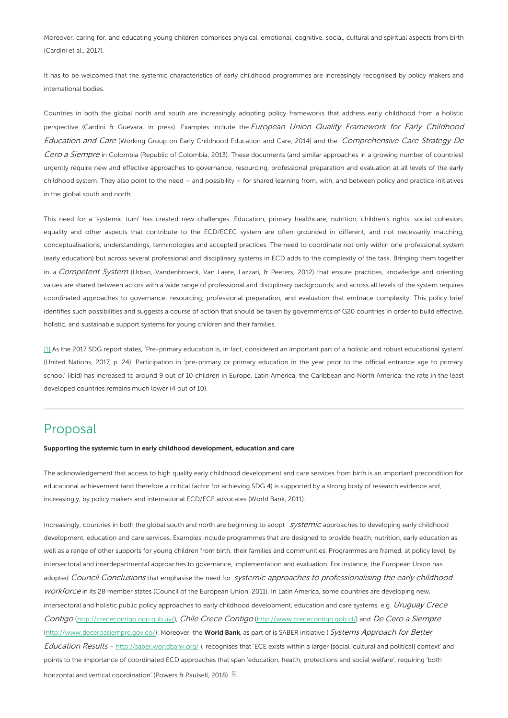Moreover, caring for, and educating young children comprises physical, emotional, cognitive, social, cultural and spiritual aspects from birth (Cardini et al., 2017).

It has to be welcomed that the systemic characteristics of early childhood programmes are increasingly recognised by policy makers and international bodies.

Countries in both the global north and south are increasingly adopting policy frameworks that address early childhood from a holistic perspective (Cardini & Guevara, in press). Examples include the European Union Quality Framework for Early Childhood Education and Care (Working Group on Early Childhood Education and Care, 2014) and the Comprehensive Care Strategy De Cero a Siempre in Colombia (Republic of Colombia, 2013). These documents (and similar approaches in a growing number of countries) urgently require new and effective approaches to governance, resourcing, professional preparation and evaluation at all levels of the early childhood system. They also point to the need – and possibility – for shared learning from, with, and between policy and practice initiatives in the global south and north.

This need for a 'systemic turn' has created new challenges. Education, primary healthcare, nutrition, children's rights, social cohesion, equality and other aspects that contribute to the ECD/ECEC system are often grounded in different, and not necessarily matching, conceptualisations, understandings, terminologies and accepted practices. The need to coordinate not only within one professional system (early education) but across several professional and disciplinary systems in ECD adds to the complexity of the task. Bringing them together in a Competent System (Urban, Vandenbroeck, Van Laere, Lazzari, & Peeters, 2012) that ensure practices, knowledge and orienting values are shared between actors with a wide range of professional and disciplinary backgrounds, and across all levels of the system requires coordinated approaches to governance, resourcing, professional preparation, and evaluation that embrace complexity. This policy brief identifies such possibilities and suggests a course of action that should be taken by governments of G20 countries in order to build effective, holistic, and sustainable support systems for young children and their families.

<span id="page-1-0"></span>[\[1\]](#page-0-0) As the 2017 SDG report states, 'Pre-primary education is, in fact, considered an important part of a holistic and robust educational system' (United Nations, 2017, p. 24). Participation in 'pre-primary or primary education in the year prior to the official entrance age to primary school' (ibid) has increased to around 9 out of 10 children in Europe, Latin America, the Caribbean and North America; the rate in the least developed countries remains much lower (4 out of 10).

# Proposal

Supporting the systemic turn in early childhood development, education and care

The acknowledgement that access to high quality early childhood development and care services from birth is an important precondition for educational achievement (and therefore a critical factor for achieving SDG 4) is supported by a strong body of research evidence and, increasingly, by policy makers and international ECD/ECE advocates (World Bank, 2011).

Increasingly, countries in both the global south and north are beginning to adopt systemic approaches to developing early childhood development, education and care services. Examples include programmes that are designed to provide health, nutrition, early education as well as a range of other supports for young children from birth, their families and communities. Programmes are framed, at policy level, by intersectoral and interdepartmental approaches to governance, implementation and evaluation. For instance, the European Union has adopted Council Conclusions that emphasise the need for systemic approaches to professionalising the early childhood workforce in its 28 member states (Council of the European Union, 2011). In Latin America, some countries are developing new, intersectoral and holistic public policy approaches to early childhood development, education and care systems, e.g. Uruguay Crece Contigo [\(http://crececontigo.opp.gub.uy/](http://crececontigo.opp.gub.uy/)), Chile Crece Contigo (<http://www.crececontigo.gob.cl/>) and De Cero <sup>a</sup> Siempre [\(http://www.deceroasiempre.gov.co/](http://www.deceroasiempre.gov.co/)). Moreover, the World Bank, as part of is SABER initiative (Systems Approach for Better Education Results - <http://saber.worldbank.org/>), recognises that 'ECE exists within a larger [social, cultural and political] context' and points to the importance of coordinated ECD approaches that span 'education, health, protections and social welfare', requiring 'both horizontal and vertical coordination' (Powers & Paulsell, 2018). [\[1\]](#page-1-0)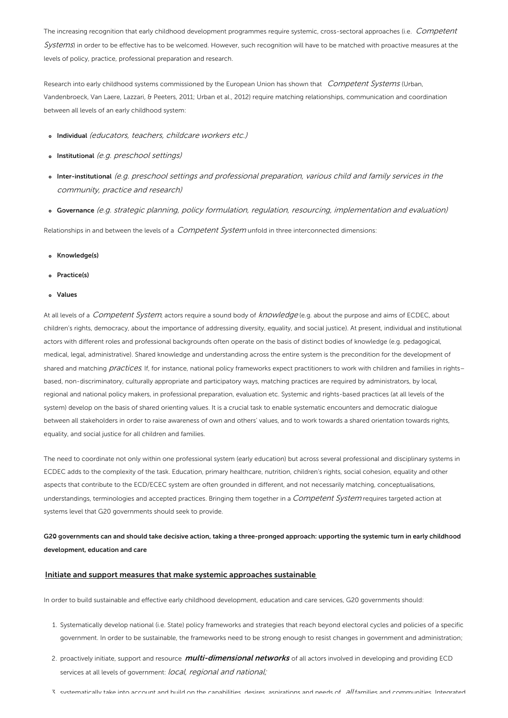The increasing recognition that early childhood development programmes require systemic, cross-sectoral approaches (i.e. Competent Systems) in order to be effective has to be welcomed. However, such recognition will have to be matched with proactive measures at the levels of policy, practice, professional preparation and research.

Research into early childhood systems commissioned by the European Union has shown that Competent Systems (Urban, Vandenbroeck, Van Laere, Lazzari, & Peeters, 2011; Urban et al., 2012) require matching relationships, communication and coordination between all levels of an early childhood system:

- o Individual (educators, teachers, childcare workers etc.)
- o Institutional (e.g. preschool settings)
- Inter-institutional (e.g. preschool settings and professional preparation, various child and family services in the community, practice and research)
- Governance (e.g. strategic planning, policy formulation, regulation, resourcing, implementation and evaluation)

Relationships in and between the levels of a Competent System unfold in three interconnected dimensions:

- Knowledge(s)
- o Practice(s)
- Values

At all levels of a Competent System, actors require a sound body of knowledge (e.g. about the purpose and aims of ECDEC, about children's rights, democracy, about the importance of addressing diversity, equality, and social justice). At present, individual and institutional actors with different roles and professional backgrounds often operate on the basis of distinct bodies of knowledge (e.g. pedagogical, medical, legal, administrative). Shared knowledge and understanding across the entire system is the precondition for the development of shared and matching *practices.* If, for instance, national policy frameworks expect practitioners to work with children and families in rights– based, non-discriminatory, culturally appropriate and participatory ways, matching practices are required by administrators, by local, regional and national policy makers, in professional preparation, evaluation etc. Systemic and rights-based practices (at all levels of the system) develop on the basis of shared orienting values. It is a crucial task to enable systematic encounters and democratic dialogue between all stakeholders in order to raise awareness of own and others' values, and to work towards a shared orientation towards rights, equality, and social justice for all children and families.

The need to coordinate not only within one professional system (early education) but across several professional and disciplinary systems in ECDEC adds to the complexity of the task. Education, primary healthcare, nutrition, children's rights, social cohesion, equality and other aspects that contribute to the ECD/ECEC system are often grounded in different, and not necessarily matching, conceptualisations, understandings, terminologies and accepted practices. Bringing them together in a *Competent System* requires targeted action at systems level that G20 governments should seek to provide.

### G20 governments can and should take decisive action, taking a three-pronged approach: upporting the systemic turn in early childhood development, education and care

#### Initiate and support measures that make systemic approaches sustainable

In order to build sustainable and effective early childhood development, education and care services, G20 governments should:

- 1. Systematically develop national (i.e. State) policy frameworks and strategies that reach beyond electoral cycles and policies of a specific government. In order to be sustainable, the frameworks need to be strong enough to resist changes in government and administration;
- 2. proactively initiate, support and resource *multi-dimensional networks* of all actors involved in developing and providing ECD services at all levels of government: *local, regional and national;*
- 3. systematically take into account and build on the capabilities, desires, aspirations and needs of all families and communities. Integrated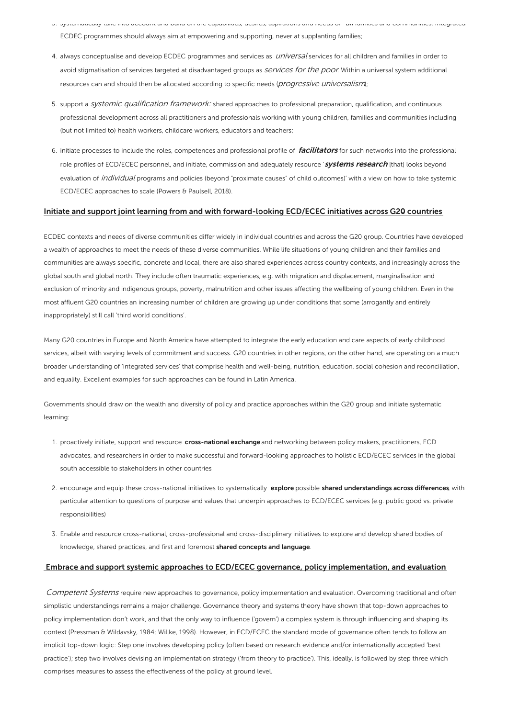- 3. systematically take into account and build on the capabilities, desires, aspirations and needs of all families and communities. Integrated ECDEC programmes should always aim at empowering and supporting, never at supplanting families;
- 4. always conceptualise and develop ECDEC programmes and services as *universal* services for all children and families in order to avoid stigmatisation of services targeted at disadvantaged groups as *Services for the poor*. Within a universal system additional resources can and should then be allocated according to specific needs (*progressive universalism*);
- 5. support a systemic qualification framework: shared approaches to professional preparation, qualification, and continuous professional development across all practitioners and professionals working with young children, families and communities including (but not limited to) health workers, childcare workers, educators and teachers;
- 6. initiate processes to include the roles, competences and professional profile of facilitators for such networks into the professional role profiles of ECD/ECEC personnel, and initiate, commission and adequately resource 'systems research [that] looks beyond evaluation of individual programs and policies (beyond "proximate causes" of child outcomes)' with a view on how to take systemic ECD/ECEC approaches to scale (Powers & Paulsell, 2018).

#### Initiate and support joint learning from and with forward-looking ECD/ECEC initiatives across G20 countries

ECDEC contexts and needs of diverse communities differ widely in individual countries and across the G20 group. Countries have developed a wealth of approaches to meet the needs of these diverse communities. While life situations of young children and their families and communities are always specific, concrete and local, there are also shared experiences across country contexts, and increasingly across the global south and global north. They include often traumatic experiences, e.g. with migration and displacement, marginalisation and exclusion of minority and indigenous groups, poverty, malnutrition and other issues affecting the wellbeing of young children. Even in the most affluent G20 countries an increasing number of children are growing up under conditions that some (arrogantly and entirely inappropriately) still call 'third world conditions'.

Many G20 countries in Europe and North America have attempted to integrate the early education and care aspects of early childhood services, albeit with varying levels of commitment and success. G20 countries in other regions, on the other hand, are operating on a much broader understanding of 'integrated services' that comprise health and well-being, nutrition, education, social cohesion and reconciliation, and equality. Excellent examples for such approaches can be found in Latin America.

Governments should draw on the wealth and diversity of policy and practice approaches within the G20 group and initiate systematic learning:

- 1. proactively initiate, support and resource cross-national exchange and networking between policy makers, practitioners, ECD advocates, and researchers in order to make successful and forward-looking approaches to holistic ECD/ECEC services in the global south accessible to stakeholders in other countries
- 2. encourage and equip these cross-national initiatives to systematically explore possible shared understandings across differences, with particular attention to questions of purpose and values that underpin approaches to ECD/ECEC services (e.g. public good vs. private responsibilities)
- 3. Enable and resource cross-national, cross-professional and cross-disciplinary initiatives to explore and develop shared bodies of knowledge, shared practices, and first and foremost shared concepts and language.

#### Embrace and support systemic approaches to ECD/ECEC governance, policy implementation, and evaluation

Competent Systems require new approaches to governance, policy implementation and evaluation. Overcoming traditional and often simplistic understandings remains a major challenge. Governance theory and systems theory have shown that top-down approaches to policy implementation don't work, and that the only way to influence ('govern') a complex system is through influencing and shaping its context (Pressman & Wildavsky, 1984; Willke, 1998). However, in ECD/ECEC the standard mode of governance often tends to follow an implicit top-down logic: Step one involves developing policy (often based on research evidence and/or internationally accepted 'best practice'); step two involves devising an implementation strategy ('from theory to practice'). This, ideally, is followed by step three which comprises measures to assess the effectiveness of the policy at ground level.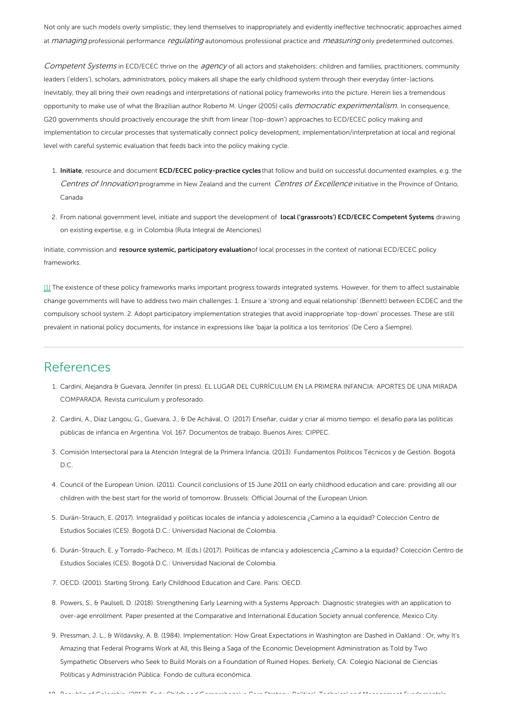Not only are such models overly simplistic; they lend themselves to inappropriately and evidently ineffective technocratic approaches aimed at *managing* professional performance *regulating* autonomous professional practice and *measuring* only predetermined outcomes.

Competent Systems in ECD/ECEC thrive on the agency of all actors and stakeholders: children and families, practitioners, community leaders ('elders'), scholars, administrators, policy makers all shape the early childhood system through their everyday (inter-)actions. Inevitably, they all bring their own readings and interpretations of national policy frameworks into the picture. Herein lies a tremendous opportunity to make use of what the Brazilian author Roberto M. Unger (2005) calls *democratic experimentalism*. In consequence, G20 governments should proactively encourage the shift from linear ('top-down') approaches to ECD/ECEC policy making and implementation to circular processes that systematically connect policy development, implementation/interpretation at local and regional level with careful systemic evaluation that feeds back into the policy making cycle.

- 1. Initiate, resource and document ECD/ECEC policy-practice cycles that follow and build on successful documented examples, e.g. the Centres of Innovation programme in New Zealand and the current Centres of Excellence initiative in the Province of Ontario, Canada
- 2. From national government level, initiate and support the development of local ('grassroots') ECD/ECEC Competent Systems drawing on existing expertise, e.g. in Colombia (Ruta Integral de Atenciones)

Initiate, commission and resource systemic, participatory evaluationof local processes in the context of national ECD/ECEC policy frameworks.

[\[1\]](#page-0-0) The existence of these policy frameworks marks important progress towards integrated systems. However, for them to affect sustainable change governments will have to address two main challenges: 1. Ensure a 'strong and equal relationship' (Bennett) between ECDEC and the compulsory school system. 2. Adopt participatory implementation strategies that avoid inappropriate 'top-down' processes. These are still prevalent in national policy documents, for instance in expressions like 'bajar la política a los territorios' (De Cero a Siempre).

### References

- 1. Cardini, Alejandra & Guevara, Jennifer (in press). EL LUGAR DEL CURRÍCULUM EN LA PRIMERA INFANCIA: APORTES DE UNA MIRADA COMPARADA. Revista currículum y profesorado.
- 2. Cardini, A., Díaz Langou, G., Guevara, J., & De Achával, O. (2017) Enseñar, cuidar y criar al mismo tiempo: el desafío para las políticas públicas de infancia en Argentina. Vol. 167. Documentos de trabajo. Buenos Aires: CIPPEC.
- 3. Comisión Intersectoral para la Atención Integral de la Primera Infancia. (2013). Fundamentos Políticos Técnicos y de Gestión. Bogotá D.C.
- 4. Council of the European Union. (2011). Council conclusions of 15 June 2011 on early childhood education and care: providing all our children with the best start for the world of tomorrow. Brussels: Official Journal of the European Union.
- 5. Durán-Strauch, E. (2017). Integralidad y políticas locales de infancia y adolescencia ¿Camino a la equidad? Colección Centro de Estudios Sociales (CES). Bogotá D.C.: Universidad Nacional de Colombia.
- 6. Durán-Strauch, E. y Torrado-Pacheco, M. (Eds.) (2017). Políticas de infancia y adolescencia ¿Camino a la equidad? Colección Centro de Estudios Sociales (CES). Bogotá D.C.: Universidad Nacional de Colombia.
- 7. OECD. (2001). Starting Strong. Early Childhood Education and Care. Paris: OECD.
- 8. Powers, S., & Paulsell, D. (2018). Strengthening Early Learning with a Systems Approach: Diagnostic strategies with an application to over-age enrollment. Paper presented at the Comparative and International Education Society annual conference, Mexico City.
- 9. Pressman, J. L., & Wildavsky, A. B. (1984). Implementation: How Great Expectations in Washington are Dashed in Oakland : Or, why It's Amazing that Federal Programs Work at All, this Being a Saga of the Economic Development Administration as Told by Two Sympathetic Observers who Seek to Build Morals on a Foundation of Ruined Hopes. Berkely, CA: Colegio Nacional de Ciencias Políticas y Administración Pública: Fondo de cultura económica.

10. Republic of Colombia. (2013). Early Childhood Comprehensive Care Strategy. Political, Technical